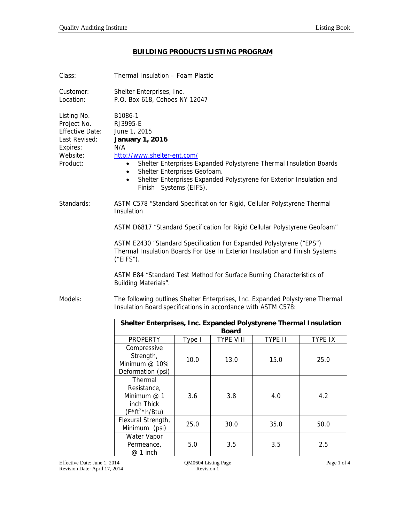## **BUILDING PRODUCTS LISTING PROGRAM**

| Class:                                                                                                    | <b>Thermal Insulation - Foam Plastic</b>                                                                                                                                                                                                                                                                                                           |                                   |           |         |                |  |  |
|-----------------------------------------------------------------------------------------------------------|----------------------------------------------------------------------------------------------------------------------------------------------------------------------------------------------------------------------------------------------------------------------------------------------------------------------------------------------------|-----------------------------------|-----------|---------|----------------|--|--|
| Customer:<br>Location:                                                                                    | Shelter Enterprises, Inc.<br>P.O. Box 618, Cohoes NY 12047                                                                                                                                                                                                                                                                                         |                                   |           |         |                |  |  |
| Listing No.<br>Project No.<br><b>Effective Date:</b><br>Last Revised:<br>Expires:<br>Website:<br>Product: | B1086-1<br>RJ3995-E<br>June 1, 2015<br><b>January 1, 2016</b><br>N/A<br>http://www.shelter-ent.com/<br>Shelter Enterprises Expanded Polystyrene Thermal Insulation Boards<br>$\bullet$<br>Shelter Enterprises Geofoam.<br>$\bullet$<br>Shelter Enterprises Expanded Polystyrene for Exterior Insulation and<br>$\bullet$<br>Finish Systems (EIFS). |                                   |           |         |                |  |  |
| Standards:                                                                                                | ASTM C578 "Standard Specification for Rigid, Cellular Polystyrene Thermal<br>Insulation                                                                                                                                                                                                                                                            |                                   |           |         |                |  |  |
|                                                                                                           | ASTM D6817 "Standard Specification for Rigid Cellular Polystyrene Geofoam"                                                                                                                                                                                                                                                                         |                                   |           |         |                |  |  |
|                                                                                                           | ASTM E2430 "Standard Specification For Expanded Polystyrene ("EPS")<br>Thermal Insulation Boards For Use In Exterior Insulation and Finish Systems<br>("EIFS").<br>ASTM E84 "Standard Test Method for Surface Burning Characteristics of<br>Building Materials".                                                                                   |                                   |           |         |                |  |  |
| Models:                                                                                                   | The following outlines Shelter Enterprises, Inc. Expanded Polystyrene Thermal<br>Insulation Board specifications in accordance with ASTM C578:                                                                                                                                                                                                     |                                   |           |         |                |  |  |
| Shelter Enterprises, Inc. Expanded Polystyrene Thermal Insulation<br><b>Board</b>                         |                                                                                                                                                                                                                                                                                                                                                    |                                   |           |         |                |  |  |
|                                                                                                           | <b>PROPERTY</b>                                                                                                                                                                                                                                                                                                                                    | Type I                            | TYPE VIII | TYPE II | <b>TYPE IX</b> |  |  |
|                                                                                                           | Compressive<br>Strength,<br>Minimum @ 10%<br>Deformation (psi)                                                                                                                                                                                                                                                                                     | 10.0                              | 13.0      | 15.0    | 25.0           |  |  |
|                                                                                                           | Thermal<br>Resistance,<br>Minimum @ 1<br>inch Thick<br>$(F * ft2 * h/Btu)$                                                                                                                                                                                                                                                                         | 3.6                               | 3.8       | 4.0     | 4.2            |  |  |
|                                                                                                           | Flexural Strength,<br>Minimum (psi)                                                                                                                                                                                                                                                                                                                | 25.0                              | 30.0      | 35.0    | 50.0           |  |  |
|                                                                                                           | Water Vapor<br>Permeance,<br>@ 1 inch                                                                                                                                                                                                                                                                                                              | 5.0                               | 3.5       | 3.5     | 2.5            |  |  |
| Effective Date: June 1, 2014<br>Revision Date: April 17, 2014                                             |                                                                                                                                                                                                                                                                                                                                                    | QM0604 Listing Page<br>Revision 1 |           |         | Page 1 of 4    |  |  |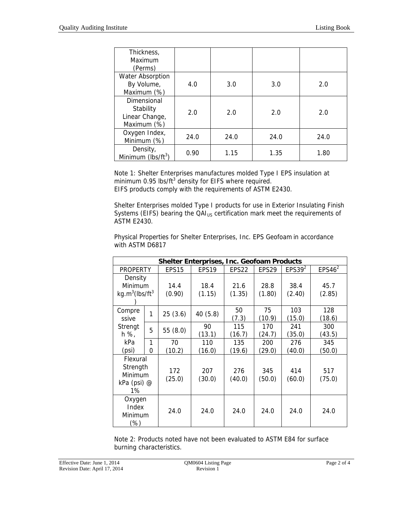| Thickness,<br>Maximum<br>(Perms)                          |      |      |      |      |
|-----------------------------------------------------------|------|------|------|------|
| <b>Water Absorption</b><br>By Volume,<br>Maximum (%)      | 4.0  | 3.0  | 3.0  | 2.0  |
| Dimensional<br>Stability<br>Linear Change,<br>Maximum (%) | 2.0  | 2.0  | 2.0  | 2.0  |
| Oxygen Index,<br>Minimum (%)                              | 24.0 | 24.0 | 24.0 | 24.0 |
| Density,<br>Minimum ( $lbs/ft^3$ )                        | 0.90 | 1.15 | 1.35 | 1.80 |

Note 1: Shelter Enterprises manufactures molded Type I EPS insulation at minimum 0.95 lbs/ft $3$  density for EIFS where required. EIFS products comply with the requirements of ASTM E2430.

Shelter Enterprises molded Type I products for use in Exterior Insulating Finish Systems (EIFS) bearing the QAI<sub>US</sub> certification mark meet the requirements of ASTM E2430.

Physical Properties for Shelter Enterprises, Inc. EPS Geofoam in accordance with ASTM D6817

| <b>Shelter Enterprises, Inc. Geofoam Products</b>            |        |                                                                                  |                |                |                |                |                |
|--------------------------------------------------------------|--------|----------------------------------------------------------------------------------|----------------|----------------|----------------|----------------|----------------|
| <b>PROPERTY</b>                                              |        | EPS4 $6^2$<br>EPS39 <sup>2</sup><br>EPS15<br>EPS19<br>EPS22<br>EPS <sub>29</sub> |                |                |                |                |                |
| Density<br>Minimum<br>kg.m <sup>3</sup> (lbs/ft <sup>3</sup> |        | 14.4<br>(0.90)                                                                   | 18.4<br>(1.15) | 21.6<br>(1.35) | 28.8<br>(1.80) | 38.4<br>(2.40) | 45.7<br>(2.85) |
| Compre<br>ssive                                              | 1      | 25(3.6)                                                                          | 40 (5.8)       | 50<br>(7.3)    | 75<br>(10.9)   | 103<br>(15.0)  | 128<br>(18.6)  |
| Strengt<br>h %,                                              | 5      | 55(8.0)                                                                          | 90<br>(13.1)   | 115<br>(16.7)  | 170<br>(24.7)  | 241<br>(35.0)  | 300<br>(43.5)  |
| kPa<br>(psi)                                                 | 1<br>0 | 70<br>(10.2)                                                                     | 110<br>(16.0)  | 135<br>(19.6)  | 200<br>(29.0)  | 276<br>(40.0)  | 345<br>(50.0)  |
| Flexural<br>Strength<br>Minimum<br>kPa (psi) $@$<br>$1\%$    |        | 172<br>(25.0)                                                                    | 207<br>(30.0)  | 276<br>(40.0)  | 345<br>(50.0)  | 414<br>(60.0)  | 517<br>(75.0)  |
| Oxygen<br>Index<br>Minimum<br>(%)                            |        | 24.0                                                                             | 24.0           | 24.0           | 24.0           | 24.0           | 24.0           |

Note 2: Products noted have not been evaluated to ASTM E84 for surface burning characteristics.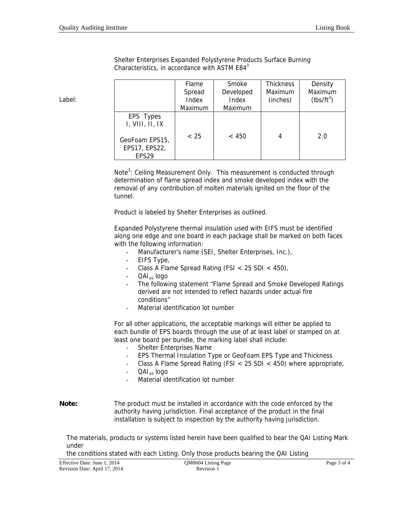| Shelter Enterprises Expanded Polystyrene Products Surface Burning |  |
|-------------------------------------------------------------------|--|
| Characteristics, in accordance with ASTM $E843$                   |  |

|                                                      | Flame<br>Spread<br>Index | Smoke<br>Developed<br>Index | <b>Thickness</b><br>Maximum<br>(inches) | Density<br>Maximum<br>$(lbs/ft^3)$ |
|------------------------------------------------------|--------------------------|-----------------------------|-----------------------------------------|------------------------------------|
|                                                      | Maximum                  | Maximum                     |                                         |                                    |
| EPS Types<br>I, VIII, II, IX                         |                          |                             |                                         |                                    |
| GeoFoam EPS15,<br>EPS17, EPS22,<br>EPS <sub>29</sub> | < 25                     | < 450                       |                                         | 2.0                                |

Note<sup>3</sup>: Ceiling Measurement Only. This measurement is conducted through determination of flame spread index and smoke developed index with the removal of any contribution of molten materials ignited on the floor of the tunnel.

Product is labeled by Shelter Enterprises as outlined.

Expanded Polystyrene thermal insulation used with EIFS must be identified along one edge and one board in each package shall be marked on both faces with the following information:

- Manufacturer's name (SEI, Shelter Enterprises, Inc.),
- EIFS Type,
- Class A Flame Spread Rating (FSI < 25 SDI < 450),
- QAI<sub>us</sub> logo
- The following statement "Flame Spread and Smoke Developed Ratings derived are not intended to reflect hazards under actual fire conditions"
- Material identification lot number

For all other applications, the acceptable markings will either be applied to each bundle of EPS boards through the use of at least label or stamped on at least one board per bundle, the marking label shall include:

- Shelter Enterprises Name
- EPS Thermal Insulation Type or GeoFoam EPS Type and Thickness
- Class A Flame Spread Rating (FSI < 25 SDI < 450) where appropriate,
- $QAI<sub>us</sub>$  logo
	- Material identification lot number
- **Note:** The product must be installed in accordance with the code enforced by the authority having jurisdiction. Final acceptance of the product in the final installation is subject to inspection by the authority having jurisdiction.

The materials, products or systems listed herein have been qualified to bear the QAI Listing Mark under

the conditions stated with each Listing. Only those products bearing the QAI Listing

| Effective Date: June 1, 2014  | QM0604 Listing Page |  | Page 3 of 4 |
|-------------------------------|---------------------|--|-------------|
| Revision Date: April 17, 2014 | Revision 1          |  |             |

Label: